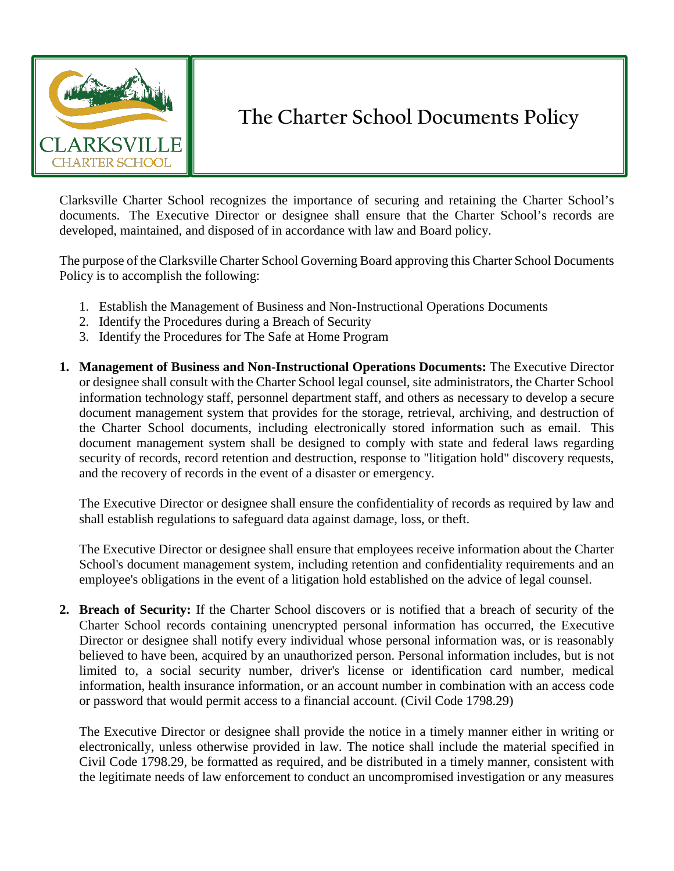

## **The Charter School Documents Policy**

Clarksville Charter School recognizes the importance of securing and retaining the Charter School's documents. The Executive Director or designee shall ensure that the Charter School's records are developed, maintained, and disposed of in accordance with law and Board policy.

The purpose of the Clarksville Charter School Governing Board approving this Charter School Documents Policy is to accomplish the following:

- 1. Establish the Management of Business and Non-Instructional Operations Documents
- 2. Identify the Procedures during a Breach of Security
- 3. Identify the Procedures for The Safe at Home Program
- **1. Management of Business and Non-Instructional Operations Documents:** The Executive Director or designee shall consult with the Charter School legal counsel, site administrators, the Charter School information technology staff, personnel department staff, and others as necessary to develop a secure document management system that provides for the storage, retrieval, archiving, and destruction of the Charter School documents, including electronically stored information such as email. This document management system shall be designed to comply with state and federal laws regarding security of records, record retention and destruction, response to "litigation hold" discovery requests, and the recovery of records in the event of a disaster or emergency.

The Executive Director or designee shall ensure the confidentiality of records as required by law and shall establish regulations to safeguard data against damage, loss, or theft.

The Executive Director or designee shall ensure that employees receive information about the Charter School's document management system, including retention and confidentiality requirements and an employee's obligations in the event of a litigation hold established on the advice of legal counsel.

**2. Breach of Security:** If the Charter School discovers or is notified that a breach of security of the Charter School records containing unencrypted personal information has occurred, the Executive Director or designee shall notify every individual whose personal information was, or is reasonably believed to have been, acquired by an unauthorized person. Personal information includes, but is not limited to, a social security number, driver's license or identification card number, medical information, health insurance information, or an account number in combination with an access code or password that would permit access to a financial account. (Civil Code 1798.29)

The Executive Director or designee shall provide the notice in a timely manner either in writing or electronically, unless otherwise provided in law. The notice shall include the material specified in Civil Code 1798.29, be formatted as required, and be distributed in a timely manner, consistent with the legitimate needs of law enforcement to conduct an uncompromised investigation or any measures